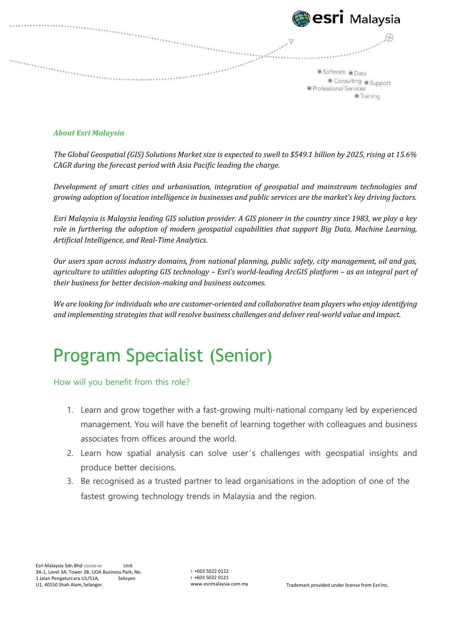| <b>Besri</b> Malaysia                                                        |
|------------------------------------------------------------------------------|
| Software Data<br>Consulting Support<br>· Professional Services<br>● Training |
|                                                                              |

## *About Esri Malaysia*

*The Global Geospatial (GIS) Solutions Market size is expected to swell to \$549.1 billion by 2025, rising at 15.6% CAGR during the forecast period with Asia Pacific leading the charge.*

*Development of smart cities and urbanisation, integration of geospatial and mainstream technologies and growing adoption of location intelligence in businesses and public services are the market's key driving factors.*

*Esri Malaysia is Malaysia leading GIS solution provider. A GIS pioneer in the country since 1983, we play a key role in furthering the adoption of modern geospatial capabilities that support Big Data, Machine Learning, Artificial Intelligence, and Real‐Time Analytics.*

*Our users span across industry domains, from national planning, public safety, city management, oil and gas, agriculture to utilities adopting GIS technology – Esri's world‐leading ArcGIS platform – as an integral part of their business for better decision‐making and business outcomes.*

We are looking for individuals who are customer-oriented and collaborative team players who enjoy identifying *and implementing strategies that will resolve business challenges and deliver real‐world value and impact.*

## Program Specialist (Senior)

How will you benefit from this role?

- 1. Learn and grow together with a fast-growing multi-national company led by experienced management. You will have the benefit of learning together with colleagues and business associates from offices around the world.
- 2. Learn how spatial analysis can solve user's challenges with geospatial insights and produce better decisions.
- 3. Be recognised as a trusted partner to lead organisations in the adoption of one of the fastest growing technology trends in Malaysia and the region.

T +603 5022 0122 F +603 5022 0121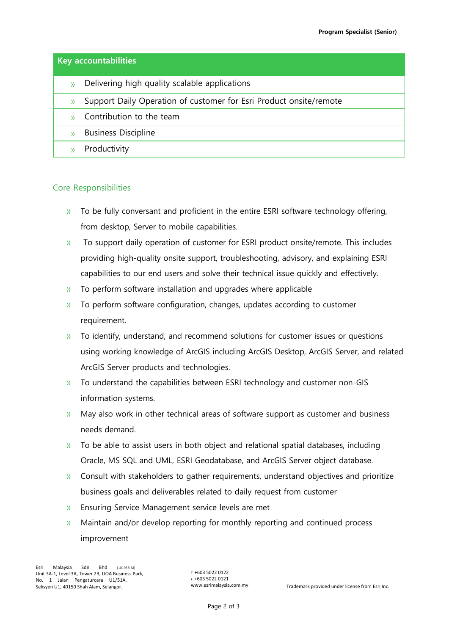| <b>Key accountabilities</b> |                                                                    |  |
|-----------------------------|--------------------------------------------------------------------|--|
| $\mathcal{Y}$               | Delivering high quality scalable applications                      |  |
| $\mathcal{Y}$               | Support Daily Operation of customer for Esri Product onsite/remote |  |
|                             | Contribution to the team                                           |  |
|                             | <b>Business Discipline</b>                                         |  |
|                             | Productivity                                                       |  |

## Core Responsibilities

- » To be fully conversant and proficient in the entire ESRI software technology offering, from desktop, Server to mobile capabilities.
- » To support daily operation of customer for ESRI product onsite/remote. This includes providing high-quality onsite support, troubleshooting, advisory, and explaining ESRI capabilities to our end users and solve their technical issue quickly and effectively.
- » To perform software installation and upgrades where applicable
- » To perform software configuration, changes, updates according to customer requirement.
- » To identify, understand, and recommend solutions for customer issues or questions using working knowledge of ArcGIS including ArcGIS Desktop, ArcGIS Server, and related ArcGIS Server products and technologies.
- » To understand the capabilities between ESRI technology and customer non-GIS information systems.
- » May also work in other technical areas of software support as customer and business needs demand.
- $\mathcal{V}$  To be able to assist users in both object and relational spatial databases, including Oracle, MS SQL and UML, ESRI Geodatabase, and ArcGIS Server object database.
- » Consult with stakeholders to gather requirements, understand objectives and prioritize business goals and deliverables related to daily request from customer
- » Ensuring Service Management service levels are met
- » Maintain and/or develop reporting for monthly reporting and continued process improvement